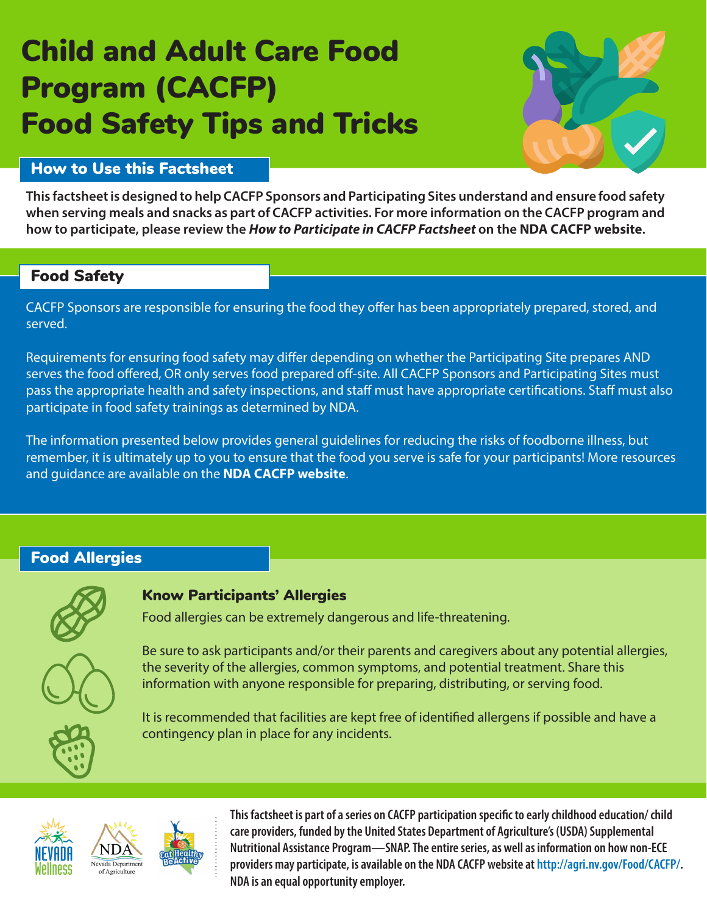# Child and Adult Care Food Program (CACFP) Food Safety Tips and Tricks



### How to Use this Factsheet

**This factsheet is designed to help CACFP Sponsors and Participating Sites understand and ensure food safety when serving meals and snacks as part of CACFP activities. For more information on the CACFP program and how to participate, please review the** *How to Participate in CACFP Factsheet* **on the [NDA CACFP website](http://agri.nv.gov/Food/CACFP/).** 

#### Food Safety

CACFP Sponsors are responsible for ensuring the food they offer has been appropriately prepared, stored, and served.

Requirements for ensuring food safety may differ depending on whether the Participating Site prepares AND serves the food offered, OR only serves food prepared off-site. All CACFP Sponsors and Participating Sites must pass the appropriate health and safety inspections, and staff must have appropriate certifications. Staff must also participate in food safety trainings as determined by NDA.

The information presented below provides general guidelines for reducing the risks of foodborne illness, but remember, it is ultimately up to you to ensure that the food you serve is safe for your participants! More resources and guidance are available on the **[NDA CACFP website](http://agri.nv.gov/Food/CACFP/)**.

## Food Allergies



# Know Participants' Allergies

Food allergies can be extremely dangerous and life-threatening.



Be sure to ask participants and/or their parents and caregivers about any potential allergies, the severity of the allergies, common symptoms, and potential treatment. Share this information with anyone responsible for preparing, distributing, or serving food.

It is recommended that facilities are kept free of identified allergens if possible and have a contingency plan in place for any incidents.





**This factsheet is part of a series on CACFP participation specific to early childhood education/ child care providers, funded by the United States Department of Agriculture's (USDA) Supplemental Nutritional Assistance Program—SNAP. The entire series, as well as information on how non-ECE providers may participate, is available on the NDA CACFP website at http://agri.nv.gov/Food/CACFP/. NDA is an equal opportunity employer.**